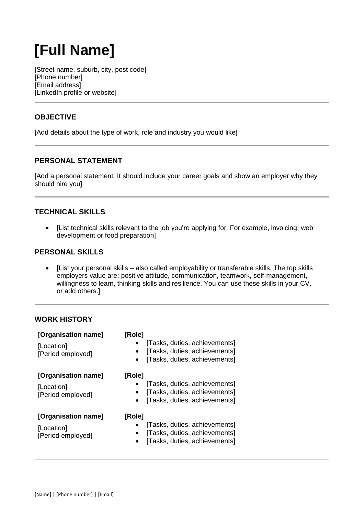# **[Full Name]**

[Street name, suburb, city, post code] [Phone number] [Email address] [LinkedIn profile or website]

## **OBJECTIVE**

[Add details about the type of work, role and industry you would like]

### **PERSONAL STATEMENT**

[Add a personal statement. It should include your career goals and show an employer why they should hire you]

### **TECHNICAL SKILLS**

 [List technical skills relevant to the job you're applying for. For example, invoicing, web development or food preparation]

#### **PERSONAL SKILLS**

 [List your personal skills – also called employability or transferable skills. The top skills employers value are: positive attitude, communication, teamwork, self-management, willingness to learn, thinking skills and resilience. You can use these skills in your CV, or add others.]

## **WORK HISTORY**

| [Organisation name]<br>[Location]<br>[Period employed] | [Role]<br>[Tasks, duties, achievements]<br>[Tasks, duties, achievements]<br>$\bullet$<br>[Tasks, duties, achievements] |
|--------------------------------------------------------|------------------------------------------------------------------------------------------------------------------------|
| [Organisation name]<br>[Location]<br>[Period employed] | [Role]<br>[Tasks, duties, achievements]<br>[Tasks, duties, achievements]<br>[Tasks, duties, achievements]              |
| [Organisation name]<br>[Location]<br>[Period employed] | [Role]<br>[Tasks, duties, achievements]<br>[Tasks, duties, achievements]<br>[Tasks, duties, achievements]              |